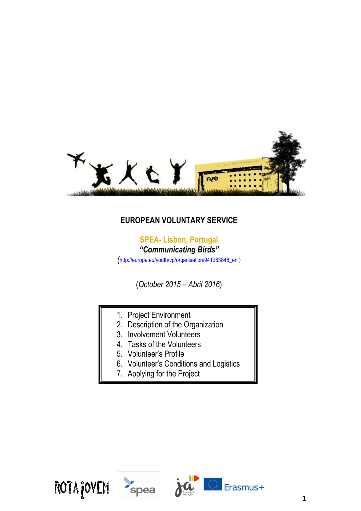

# **EUROPEAN VOLUNTARY SERVICE**

# **SPEA- Lisbon, Portugal**

*"Communicating Birds"*

*(*[http://europa.eu/youth/vp/organisation/941263848\\_en](http://europa.eu/youth/vp/organisation/941263848_en) )

(*October 2015 – Abril 2016*)

- 1. Project Environment
- 2. Description of the Organization
- 3. Involvement Volunteers
- 4. Tasks of the Volunteers
- 5. Volunteer's Profile
- 6. Volunteer's Conditions and Logistics
- 7. Applying for the Project





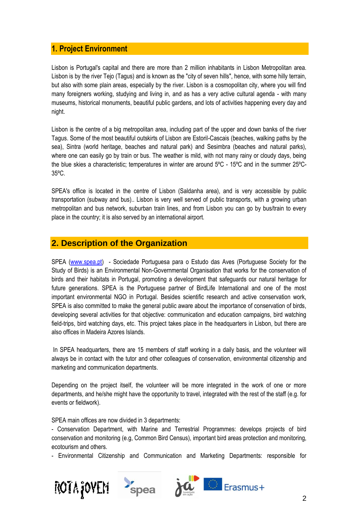# **1. Project Environment**

Lisbon is Portugal's capital and there are more than 2 million inhabitants in Lisbon Metropolitan area. Lisbon is by the river Tejo (Tagus) and is known as the "city of seven hills", hence, with some hilly terrain, but also with some plain areas, especially by the river. Lisbon is a cosmopolitan city, where you will find many foreigners working, studying and living in, and as has a very active cultural agenda - with many museums, historical monuments, beautiful public gardens, and lots of activities happening every day and night.

Lisbon is the centre of a big metropolitan area, including part of the upper and down banks of the river Tagus. Some of the most beautiful outskirts of Lisbon are Estoril-Cascais (beaches, walking paths by the sea), Sintra (world heritage, beaches and natural park) and Sesimbra (beaches and natural parks), where one can easily go by train or bus. The weather is mild, with not many rainy or cloudy days, being the blue skies a characteristic; temperatures in winter are around 5ºC - 15ºC and in the summer 25ºC-35ºC.

SPEA's office is located in the centre of Lisbon (Saldanha area), and is very accessible by public transportation (subway and bus).. Lisbon is very well served of public transports, with a growing urban metropolitan and bus network, suburban train lines, and from Lisbon you can go by bus/train to every place in the country; it is also served by an international airport.

# **2. Description of the Organization**

SPEA [\(www.spea.pt\)](http://www.spea.pt/) - Sociedade Portuguesa para o Estudo das Aves (Portuguese Society for the Study of Birds) is an Environmental Non-Governmental Organisation that works for the conservation of birds and their habitats in Portugal, promoting a development that safeguards our natural heritage for future generations. SPEA is the Portuguese partner of BirdLife International and one of the most important environmental NGO in Portugal. Besides scientific research and active conservation work, SPEA is also committed to make the general public aware about the importance of conservation of birds, developing several activities for that objective: communication and education campaigns, bird watching field-trips, bird watching days, etc. This project takes place in the headquarters in Lisbon, but there are also offices in Madeira Azores Islands.

In SPEA headquarters, there are 15 members of staff working in a daily basis, and the volunteer will always be in contact with the tutor and other colleagues of conservation, environmental citizenship and marketing and communication departments.

Depending on the project itself, the volunteer will be more integrated in the work of one or more departments, and he/she might have the opportunity to travel, integrated with the rest of the staff (e.g. for events or fieldwork).

SPEA main offices are now divided in 3 departments:

- Conservation Department, with Marine and Terrestrial Programmes: develops projects of bird conservation and monitoring (e.g, Common Bird Census), important bird areas protection and monitoring, ecotourism and others.

- Environmental Citizenship and Communication and Marketing Departments: responsible for





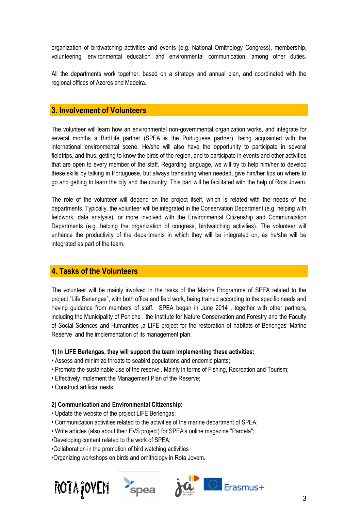organization of birdwatching activities and events (e.g. National Ornithology Congress), membership, volunteering, environmental education and environmental communication, among other duties.

All the departments work together, based on a strategy and annual plan, and coordinated with the regional offices of Azores and Madeira.

### **3. Involvement of Volunteers**

The volunteer will learn how an environmental non-governmental organization works, and integrate for several months a BirdLife partner (SPEA is the Portuguese partner), being acquainted with the international environmental scene. He/she will also have the opportunity to participate in several fieldtrips, and thus, getting to know the birds of the region, and to participate in events and other activities that are open to every member of the staff. Regarding language, we will try to help him/her to develop these skills by talking in Portuguese, but always translating when needed, give him/her tips on where to go and getting to learn the city and the country. This part will be facilitated with the help of Rota Jovem.

The role of the volunteer will depend on the project itself, which is related with the needs of the departments. Typically, the volunteer will be integrated in the Conservation Department (e.g. helping with fieldwork, data analysis), or more involved with the Environmental Citizenship and Communication Departments (e.g. helping the organization of congress, birdwatching activities). The volunteer will enhance the productivity of the departments in which they will be integrated on, as he/she will be integrated as part of the team.

### **4. Tasks of the Volunteers**

The volunteer will be mainly involved in the tasks of the Marine Programme of SPEA related to the project "Life Berlengas", with both office and field work, being trained according to the specific needs and having guidance from members of staff. SPEA began in June 2014 , together with other partners, including the Municipality of Peniche , the Institute for Nature Conservation and Forestry and the Faculty of Social Sciences and Humanities ,a LIFE project for the restoration of habitats of Berlengas' Marine Reserve and the implementation of its management plan.

#### **1) In LIFE Berlengas, they will support the team implementing these activities:**

- Assess and minimize threats to seabird populations and endemic plants;
- Promote the sustainable use of the reserve . Mainly in terms of Fishing, Recreation and Tourism;
- Effectively implement the Management Plan of the Reserve;
- Construct artificial nests.

#### **2) Communication and Environmental Citizenship:**

- Update the website of the project LIFE Berlengas;
- Communication activities related to the activities of the marine department of SPEA;
- Write articles (also about their EVS project) for SPEA's online magazine "Pardela";
- •Developing content related to the work of SPEA;
- •Collaboration in the promotion of bird watching activities
- •Organizing workshops on birds and ornithology in Rota Jovem.





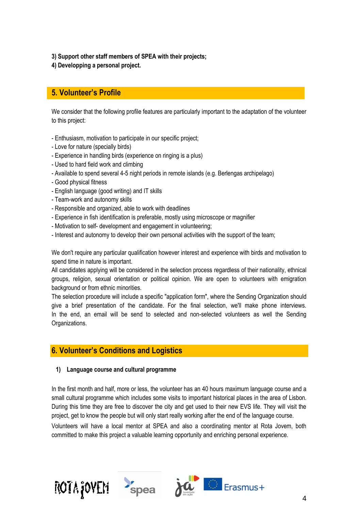**3) Support other staff members of SPEA with their projects;**

**4) Developping a personal project.**

# **5. Volunteer's Profile**

We consider that the following profile features are particularly important to the adaptation of the volunteer to this project:

- Enthusiasm, motivation to participate in our specific project;
- Love for nature (specially birds)
- Experience in handling birds (experience on ringing is a plus)
- Used to hard field work and climbing
- Available to spend several 4-5 night periods in remote islands (e.g. Berlengas archipelago)
- Good physical fitness
- English language (good writing) and IT skills
- Team-work and autonomy skills
- Responsible and organized, able to work with deadlines
- Experience in fish identification is preferable, mostly using microscope or magnifier
- Motivation to self- development and engagement in volunteering;
- Interest and autonomy to develop their own personal activities with the support of the team;

We don't require any particular qualification however interest and experience with birds and motivation to spend time in nature is important.

All candidates applying will be considered in the selection process regardless of their nationality, ethnical groups, religion, sexual orientation or political opinion. We are open to volunteers with emigration background or from ethnic minorities.

The selection procedure will include a specific "application form", where the Sending Organization should give a brief presentation of the candidate. For the final selection, we'll make phone interviews. In the end, an email will be send to selected and non-selected volunteers as well the Sending Organizations.

# **6. Volunteer's Conditions and Logistics**

#### **1) Language course and cultural programme**

In the first month and half, more or less, the volunteer has an 40 hours maximum language course and a small cultural programme which includes some visits to important historical places in the area of Lisbon. During this time they are free to discover the city and get used to their new EVS life. They will visit the project, get to know the people but will only start really working after the end of the language course.

Volunteers will have a local mentor at SPEA and also a coordinating mentor at Rota Jovem, both committed to make this project a valuable learning opportunity and enriching personal experience.

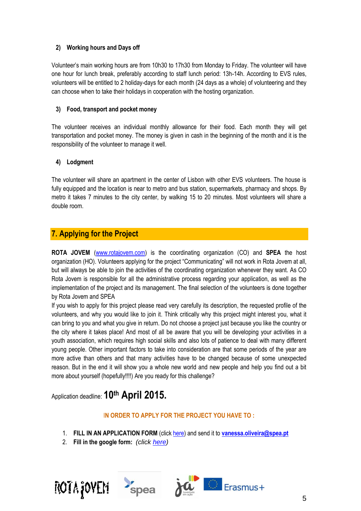### **2) Working hours and Days off**

Volunteer's main working hours are from 10h30 to 17h30 from Monday to Friday. The volunteer will have one hour for lunch break, preferably according to staff lunch period: 13h-14h. According to EVS rules, volunteers will be entitled to 2 holiday-days for each month (24 days as a whole) of volunteering and they can choose when to take their holidays in cooperation with the hosting organization.

#### **3) Food, transport and pocket money**

The volunteer receives an individual monthly allowance for their food. Each month they will get transportation and pocket money. The money is given in cash in the beginning of the month and it is the responsibility of the volunteer to manage it well.

#### **4) Lodgment**

The volunteer will share an apartment in the center of Lisbon with other EVS volunteers. The house is fully equipped and the location is near to metro and bus station, supermarkets, pharmacy and shops. By metro it takes 7 minutes to the city center, by walking 15 to 20 minutes. Most volunteers will share a double room.

# **7. Applying for the Project**

**ROTA JOVEM** [\(www.rotajovem.com\)](http://www.rotajovem.com/) is the coordinating organization (CO) and **SPEA** the host organization (HO). Volunteers applying for the project "Communicating" will not work in Rota Jovem at all, but will always be able to join the activities of the coordinating organization whenever they want. As CO Rota Jovem is responsible for all the administrative process regarding your application, as well as the implementation of the project and its management. The final selection of the volunteers is done together by Rota Jovem and SPEA

If you wish to apply for this project please read very carefully its description, the requested profile of the volunteers, and why you would like to join it. Think critically why this project might interest you, what it can bring to you and what you give in return. Do not choose a project just because you like the country or the city where it takes place! And most of all be aware that you will be developing your activities in a youth association, which requires high social skills and also lots of patience to deal with many different young people. Other important factors to take into consideration are that some periods of the year are more active than others and that many activities have to be changed because of some unexpected reason. But in the end it will show you a whole new world and new people and help you find out a bit more about yourself (hopefully!!!!) Are you ready for this challenge?

Application deadline: **10th April 2015.** 

#### I**N ORDER TO APPLY FOR THE PROJECT YOU HAVE TO :**

- 1. **FILL IN AN APPLICATION FORM** (clic[k here\)](https://drive.google.com/open?id=0B-ZYR2p6OhMTM2o1bVdLY2x5VUk&authuser=0) and send it to **[vanessa.oliveira@spea.pt](mailto:vanessa.oliveira@spea.pt)**
- 2. **Fill in the google form:** *(click [here\)](http://goo.gl/forms/9Ylcniy73Q)*